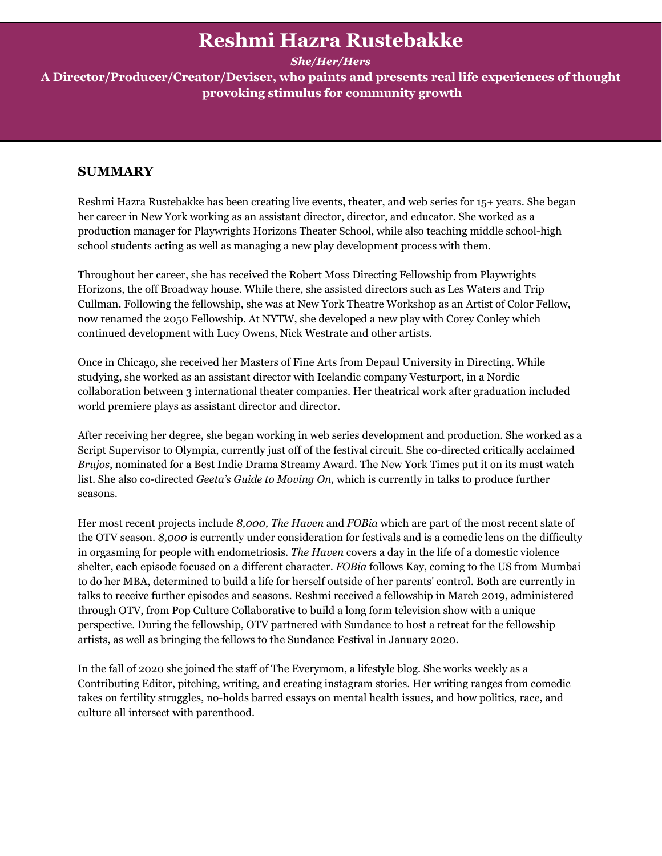# **Reshmi Hazra Rustebakke**

*She/Her/Hers*

**A Director/Producer/Creator/Deviser, who paints and presents real life experiences of thought provoking stimulus for community growth**

# **SUMMARY**

Reshmi Hazra Rustebakke has been creating live events, theater, and web series for 15+ years. She began her career in New York working as an assistant director, director, and educator. She worked as a production manager for Playwrights Horizons Theater School, while also teaching middle school-high school students acting as well as managing a new play development process with them.

Throughout her career, she has received the Robert Moss Directing Fellowship from Playwrights Horizons, the off Broadway house. While there, she assisted directors such as Les Waters and Trip Cullman. Following the fellowship, she was at New York Theatre Workshop as an Artist of Color Fellow, now renamed the 2050 Fellowship. At NYTW, she developed a new play with Corey Conley which continued development with Lucy Owens, Nick Westrate and other artists.

Once in Chicago, she received her Masters of Fine Arts from Depaul University in Directing. While studying, she worked as an assistant director with Icelandic company Vesturport, in a Nordic collaboration between 3 international theater companies. Her theatrical work after graduation included world premiere plays as assistant director and director.

After receiving her degree, she began working in web series development and production. She worked as a Script Supervisor to Olympia, currently just off of the festival circuit. She co-directed critically acclaimed *Brujos*, nominated for a Best Indie Drama Streamy Award. The New York Times put it on its must watch list. She also co-directed *Geeta's Guide to Moving On,* which is currently in talks to produce further seasons.

Her most recent projects include *8,000, The Haven* and *FOBia* which are part of the most recent slate of the OTV season. *8,000* is currently under consideration for festivals and is a comedic lens on the difficulty in orgasming for people with endometriosis. *The Haven* covers a day in the life of a domestic violence shelter, each episode focused on a different character. *FOBia* follows Kay, coming to the US from Mumbai to do her MBA, determined to build a life for herself outside of her parents' control. Both are currently in talks to receive further episodes and seasons. Reshmi received a fellowship in March 2019, administered through OTV, from Pop Culture Collaborative to build a long form television show with a unique perspective. During the fellowship, OTV partnered with Sundance to host a retreat for the fellowship artists, as well as bringing the fellows to the Sundance Festival in January 2020.

In the fall of 2020 she joined the staff of The Everymom, a lifestyle blog. She works weekly as a Contributing Editor, pitching, writing, and creating instagram stories. Her writing ranges from comedic takes on fertility struggles, no-holds barred essays on mental health issues, and how politics, race, and culture all intersect with parenthood.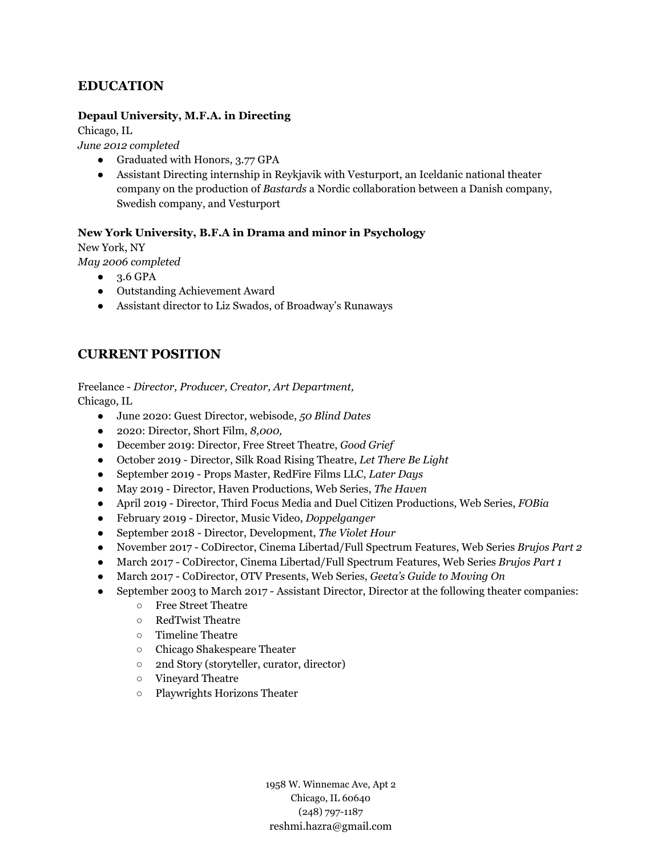# **EDUCATION**

#### **Depaul University, M.F.A. in Directing**

Chicago, IL

*June 2012 completed*

- Graduated with Honors, 3.77 GPA
- Assistant Directing internship in Reykjavik with Vesturport, an Iceldanic national theater company on the production of *Bastards* a Nordic collaboration between a Danish company, Swedish company, and Vesturport

## **New York University, B.F.A in Drama and minor in Psychology**

New York, NY

*May 2006 completed*

- 3.6 GPA
- Outstanding Achievement Award
- Assistant director to Liz Swados, of Broadway's Runaways

# **CURRENT POSITION**

Freelance - *Director, Producer, Creator, Art Department,*

Chicago, IL

- June 2020: Guest Director, webisode, *50 Blind Dates*
- 2020: Director, Short Film, *8,000,*
- December 2019: Director, Free Street Theatre, *Good Grief*
- October 2019 Director, Silk Road Rising Theatre, *Let There Be Light*
- September 2019 Props Master, RedFire Films LLC, *Later Days*
- May 2019 Director, Haven Productions, Web Series, *The Haven*
- April 2019 Director, Third Focus Media and Duel Citizen Productions, Web Series, *FOBia*
- February 2019 Director, Music Video, *Doppelganger*
- September 2018 Director, Development, *The Violet Hour*
- November 2017 CoDirector, Cinema Libertad/Full Spectrum Features, Web Series *Brujos Part 2*
- March 2017 CoDirector, Cinema Libertad/Full Spectrum Features, Web Series *Brujos Part 1*
- March 2017 CoDirector, OTV Presents, Web Series, *Geeta's Guide to Moving On*
- September 2003 to March 2017 Assistant Director, Director at the following theater companies:
	- Free Street Theatre
	- RedTwist Theatre
	- Timeline Theatre
	- Chicago Shakespeare Theater
	- 2nd Story (storyteller, curator, director)
	- Vineyard Theatre
	- Playwrights Horizons Theater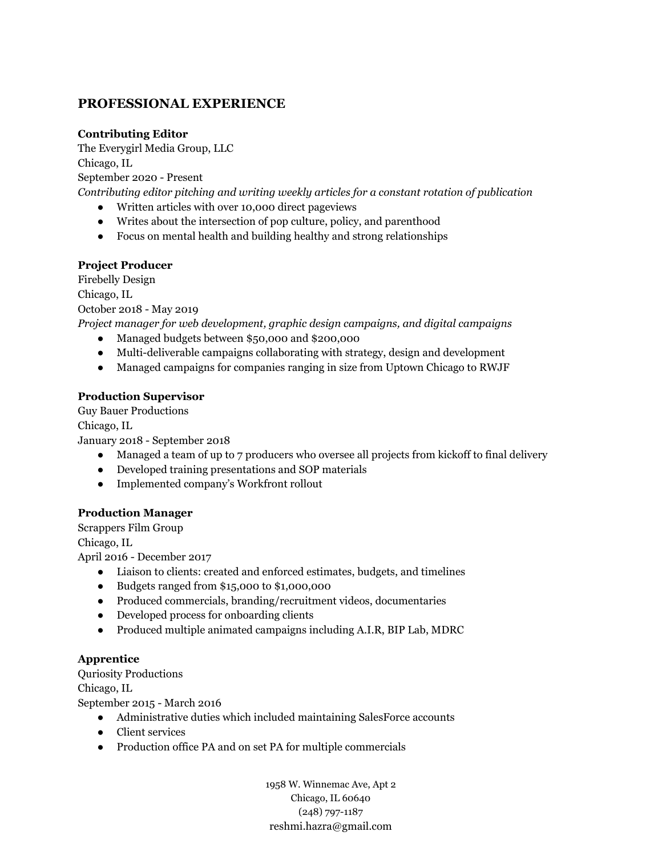# **PROFESSIONAL EXPERIENCE**

## **Contributing Editor**

The Everygirl Media Group, LLC Chicago, IL September 2020 - Present

*Contributing editor pitching and writing weekly articles for a constant rotation of publication*

- Written articles with over 10,000 direct pageviews
- Writes about the intersection of pop culture, policy, and parenthood
- Focus on mental health and building healthy and strong relationships

## **Project Producer**

Firebelly Design Chicago, IL October 2018 - May 2019 *Project manager for web development, graphic design campaigns, and digital campaigns* ● Managed budgets between \$50,000 and \$200,000

- Multi-deliverable campaigns collaborating with strategy, design and development
- Managed campaigns for companies ranging in size from Uptown Chicago to RWJF

## **Production Supervisor**

Guy Bauer Productions Chicago, IL January 2018 - September 2018

- Managed a team of up to 7 producers who oversee all projects from kickoff to final delivery
- Developed training presentations and SOP materials
- Implemented company's Workfront rollout

#### **Production Manager**

Scrappers Film Group

Chicago, IL

April 2016 - December 2017

- Liaison to clients: created and enforced estimates, budgets, and timelines
- Budgets ranged from \$15,000 to \$1,000,000
- Produced commercials, branding/recruitment videos, documentaries
- Developed process for onboarding clients
- Produced multiple animated campaigns including A.I.R, BIP Lab, MDRC

#### **Apprentice**

Quriosity Productions

Chicago, IL

September 2015 - March 2016

- Administrative duties which included maintaining SalesForce accounts
- Client services
- Production office PA and on set PA for multiple commercials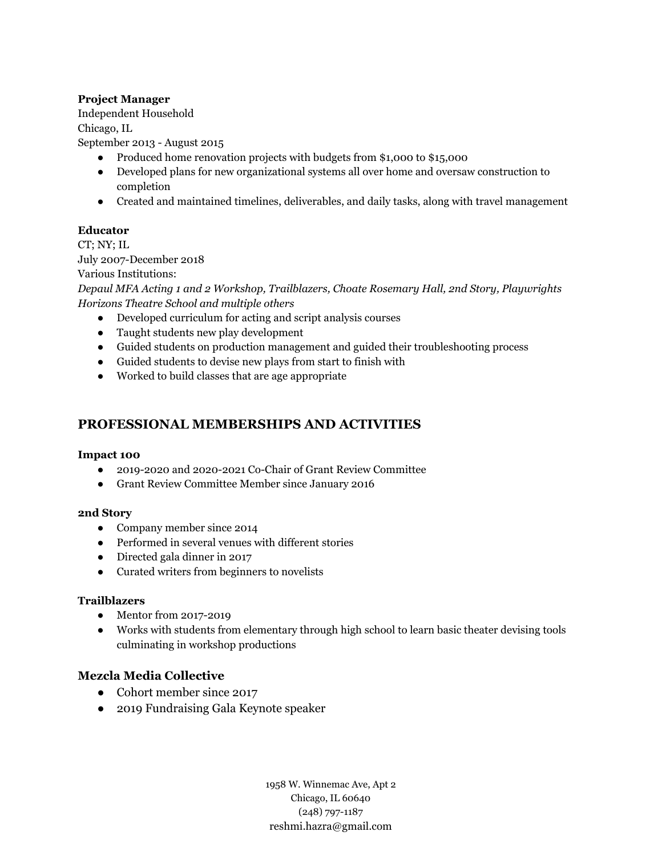## **Project Manager**

Independent Household

Chicago, IL

September 2013 - August 2015

- Produced home renovation projects with budgets from \$1,000 to \$15,000
- Developed plans for new organizational systems all over home and oversaw construction to completion
- Created and maintained timelines, deliverables, and daily tasks, along with travel management

## **Educator**

CT; NY; IL

July 2007-December 2018

Various Institutions:

*Depaul MFA Acting 1 and 2 Workshop, Trailblazers, Choate Rosemary Hall, 2nd Story, Playwrights Horizons Theatre School and multiple others*

- Developed curriculum for acting and script analysis courses
- Taught students new play development
- Guided students on production management and guided their troubleshooting process
- Guided students to devise new plays from start to finish with
- Worked to build classes that are age appropriate

# **PROFESSIONAL MEMBERSHIPS AND ACTIVITIES**

#### **Impact 100**

- 2019-2020 and 2020-2021 Co-Chair of Grant Review Committee
- Grant Review Committee Member since January 2016

#### **2nd Story**

- Company member since 2014
- Performed in several venues with different stories
- Directed gala dinner in 2017
- Curated writers from beginners to novelists

#### **Trailblazers**

- Mentor from 2017-2019
- Works with students from elementary through high school to learn basic theater devising tools culminating in workshop productions

# **Mezcla Media Collective**

- Cohort member since 2017
- 2019 Fundraising Gala Keynote speaker